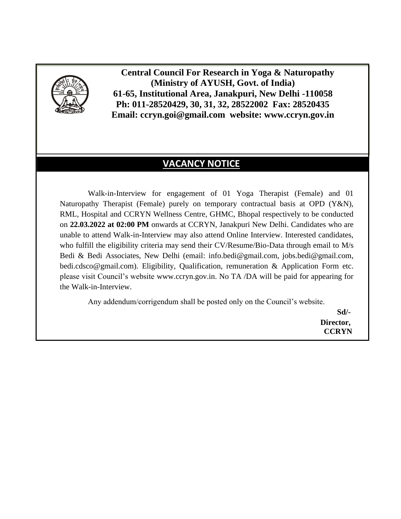

 **Central Council For Research in Yoga & Naturopathy (Ministry of AYUSH, Govt. of India) 61-65, Institutional Area, Janakpuri, New Delhi -110058 Ph: 011-28520429, 30, 31, 32, 28522002 Fax: 28520435 Email: ccryn.goi@gmail.com website: www.ccryn.gov.in**

# **VACANCY NOTICE**

Walk-in-Interview for engagement of 01 Yoga Therapist (Female) and 01 Naturopathy Therapist (Female) purely on temporary contractual basis at OPD (Y&N), RML, Hospital and CCRYN Wellness Centre, GHMC, Bhopal respectively to be conducted on **22.03.2022 at 02:00 PM** onwards at CCRYN, Janakpuri New Delhi. Candidates who are unable to attend Walk-in-Interview may also attend Online Interview. Interested candidates, who fulfill the eligibility criteria may send their CV/Resume/Bio-Data through email to M/s Bedi & Bedi Associates, New Delhi (email: info.bedi@gmail.com, jobs.bedi@gmail.com, bedi.cdsco@gmail.com). Eligibility, Qualification, remuneration & Application Form etc. please visit Council's website www.ccryn.gov.in. No TA /DA will be paid for appearing for the Walk-in-Interview.

Any addendum/corrigendum shall be posted only on the Council's website.

**Sd/- Director, CCRYN**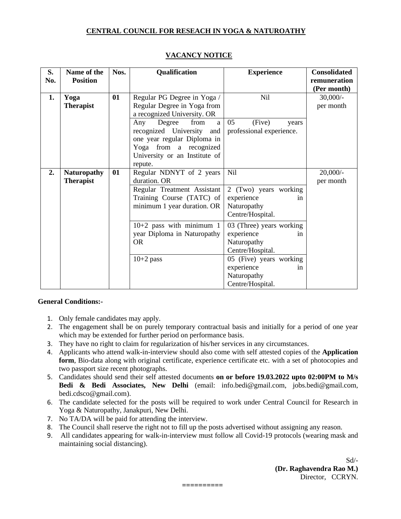#### **CENTRAL COUNCIL FOR RESEACH IN YOGA & NATUROATHY**

| S.<br>No. | Name of the<br><b>Position</b>         | Nos. | Qualification                                                                                                                                                   | <b>Experience</b>                                                                                                                                                 | <b>Consolidated</b><br>remuneration    |
|-----------|----------------------------------------|------|-----------------------------------------------------------------------------------------------------------------------------------------------------------------|-------------------------------------------------------------------------------------------------------------------------------------------------------------------|----------------------------------------|
| 1.        | Yoga<br><b>Therapist</b>               | 01   | Regular PG Degree in Yoga /<br>Regular Degree in Yoga from<br>a recognized University. OR                                                                       | <b>Nil</b>                                                                                                                                                        | (Per month)<br>$30,000/-$<br>per month |
|           |                                        |      | from<br>Degree<br>Any<br>a<br>recognized University<br>and<br>one year regular Diploma in<br>Yoga from a recognized<br>University or an Institute of<br>repute. | 05<br>(Five)<br>years<br>professional experience.                                                                                                                 |                                        |
| 2.        | <b>Naturopathy</b><br><b>Therapist</b> | 01   | Regular NDNYT of 2 years<br>duration. OR<br>Regular Treatment Assistant<br>Training Course (TATC) of<br>minimum 1 year duration. OR                             | Nil<br>2 (Two) years working<br>experience<br>in<br>Naturopathy<br>Centre/Hospital.                                                                               | $20,000/$ -<br>per month               |
|           |                                        |      | $10+2$ pass with minimum 1<br>year Diploma in Naturopathy<br><b>OR</b><br>$10+2$ pass                                                                           | 03 (Three) years working<br>experience<br>in<br>Naturopathy<br>Centre/Hospital.<br>05 (Five) years working<br>experience<br>in<br>Naturopathy<br>Centre/Hospital. |                                        |

#### **VACANCY NOTICE**

#### **General Conditions:-**

- 1. Only female candidates may apply.
- 2. The engagement shall be on purely temporary contractual basis and initially for a period of one year which may be extended for further period on performance basis.
- 3. They have no right to claim for regularization of his/her services in any circumstances.
- 4. Applicants who attend walk-in-interview should also come with self attested copies of the **Application form**, Bio-data along with original certificate, experience certificate etc. with a set of photocopies and two passport size recent photographs.
- 5. Candidates should send their self attested documents **on or before 19.03.2022 upto 02:00PM to M/s Bedi & Bedi Associates, New Delhi** (email: info.bedi@gmail.com, jobs.bedi@gmail.com, bedi.cdsco@gmail.com).
- 6. The candidate selected for the posts will be required to work under Central Council for Research in Yoga & Naturopathy, Janakpuri, New Delhi.
- 7. No TA/DA will be paid for attending the interview.
- 8. The Council shall reserve the right not to fill up the posts advertised without assigning any reason.
- 9. All candidates appearing for walk-in-interview must follow all Covid-19 protocols (wearing mask and maintaining social distancing).

**==========**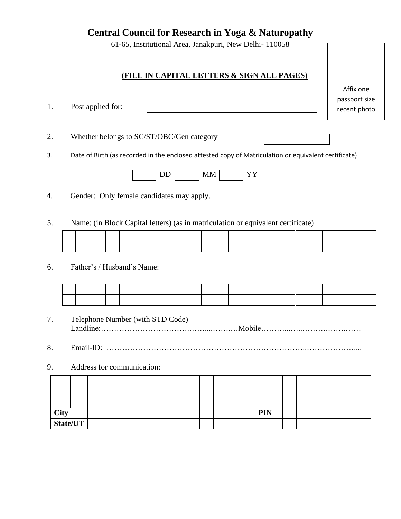**Central Council for Research in Yoga & Naturopathy**

61-65, Institutional Area, Janakpuri, New Delhi- 110058

### **(FILL IN CAPITAL LETTERS & SIGN ALL PAGES)**

Affix one passport size recent photo

2. Whether belongs to SC/ST/OBC/Gen category

3. Date of Birth (as recorded in the enclosed attested copy of Matriculation or equivalent certificate)



- 4. Gender: Only female candidates may apply.
- 5. Name: (in Block Capital letters) (as in matriculation or equivalent certificate)

#### 6. Father's / Husband's Name:

1. Post applied for:

- 7. Telephone Number (with STD Code) Landline:…………………………….……....…….…Mobile………...…..……….…….……
- 8. Email-ID: …………………………………………………………………..………………....
- 9. Address for communication:

| City<br>State/UT |  |  |  |  |  |  | <b>PIN</b> |  |  |  |  |
|------------------|--|--|--|--|--|--|------------|--|--|--|--|
|                  |  |  |  |  |  |  |            |  |  |  |  |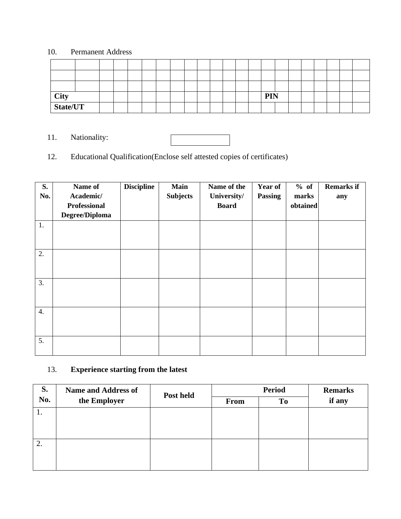### 10. Permanent Address

| <b>City</b> |  |  |  |  |  |  | <b>PIN</b> |  |  |  |  |
|-------------|--|--|--|--|--|--|------------|--|--|--|--|
| State/UT    |  |  |  |  |  |  |            |  |  |  |  |

11. Nationality:

# 12. Educational Qualification(Enclose self attested copies of certificates)

| S.<br>No.        | Name of<br>Academic/<br><b>Professional</b><br>Degree/Diploma | <b>Discipline</b> | <b>Main</b><br><b>Subjects</b> | Name of the<br>University/<br><b>Board</b> | <b>Year of</b><br><b>Passing</b> | % of<br>marks<br>obtained | <b>Remarks if</b><br>any |
|------------------|---------------------------------------------------------------|-------------------|--------------------------------|--------------------------------------------|----------------------------------|---------------------------|--------------------------|
| 1.               |                                                               |                   |                                |                                            |                                  |                           |                          |
| 2.               |                                                               |                   |                                |                                            |                                  |                           |                          |
| 3.               |                                                               |                   |                                |                                            |                                  |                           |                          |
| $\overline{4}$ . |                                                               |                   |                                |                                            |                                  |                           |                          |
| 5.               |                                                               |                   |                                |                                            |                                  |                           |                          |

# 13. **Experience starting from the latest**

| S.  | <b>Name and Address of</b> | Post held |             | <b>Period</b>  | <b>Remarks</b> |  |  |
|-----|----------------------------|-----------|-------------|----------------|----------------|--|--|
| No. | the Employer               |           | <b>From</b> | T <sub>o</sub> | if any         |  |  |
| 1.  |                            |           |             |                |                |  |  |
|     |                            |           |             |                |                |  |  |
|     |                            |           |             |                |                |  |  |
| 2.  |                            |           |             |                |                |  |  |
|     |                            |           |             |                |                |  |  |
|     |                            |           |             |                |                |  |  |